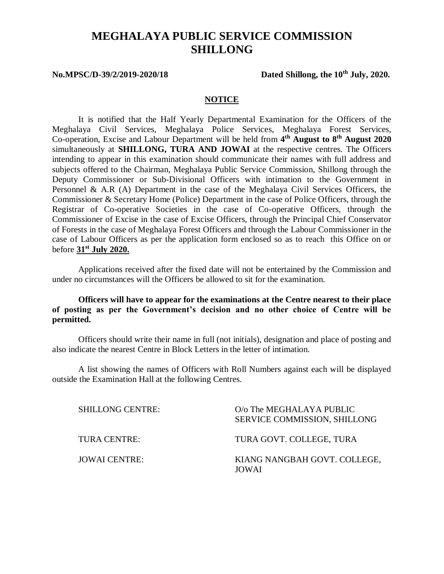# **MEGHALAYA PUBLIC SERVICE COMMISSION SHILLONG**

**No.MPSC/D-39/2/2019-2020/18 Dated Shillong, the 10th July, 2020.**

#### **NOTICE**

It is notified that the Half Yearly Departmental Examination for the Officers of the Meghalaya Civil Services, Meghalaya Police Services, Meghalaya Forest Services, Co-operation, Excise and Labour Department will be held from **4 th August to 8th August 2020** simultaneously at **SHILLONG, TURA AND JOWAI** at the respective centres. The Officers intending to appear in this examination should communicate their names with full address and subjects offered to the Chairman, Meghalaya Public Service Commission, Shillong through the Deputy Commissioner or Sub-Divisional Officers with intimation to the Government in Personnel & A.R (A) Department in the case of the Meghalaya Civil Services Officers, the Commissioner & Secretary Home (Police) Department in the case of Police Officers, through the Registrar of Co-operative Societies in the case of Co-operative Officers, through the Commissioner of Excise in the case of Excise Officers, through the Principal Chief Conservator of Forests in the case of Meghalaya Forest Officers and through the Labour Commissioner in the case of Labour Officers as per the application form enclosed so as to reach this Office on or before **31st July 2020.**

Applications received after the fixed date will not be entertained by the Commission and under no circumstances will the Officers be allowed to sit for the examination.

#### **Officers will have to appear for the examinations at the Centre nearest to their place of posting as per the Government's decision and no other choice of Centre will be permitted.**

Officers should write their name in full (not initials), designation and place of posting and also indicate the nearest Centre in Block Letters in the letter of intimation.

A list showing the names of Officers with Roll Numbers against each will be displayed outside the Examination Hall at the following Centres.

| <b>SHILLONG CENTRE:</b> | O/o The MEGHALAYA PUBLIC<br>SERVICE COMMISSION, SHILLONG |
|-------------------------|----------------------------------------------------------|
| TURA CENTRE:            | TURA GOVT. COLLEGE, TURA                                 |
| <b>JOWAI CENTRE:</b>    | KIANG NANGBAH GOVT. COLLEGE,<br>JOWAI                    |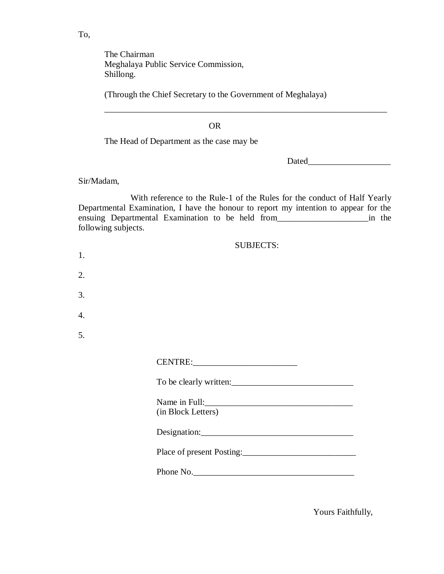The Chairman Meghalaya Public Service Commission, Shillong.

(Through the Chief Secretary to the Government of Meghalaya)

OR

The Head of Department as the case may be

Dated\_\_\_\_\_\_\_\_\_\_\_\_\_\_\_\_\_\_\_

Sir/Madam,

With reference to the Rule-1 of the Rules for the conduct of Half Yearly Departmental Examination, I have the honour to report my intention to appear for the ensuing Departmental Examination to be held from\_\_\_\_\_\_\_\_\_\_\_\_\_\_\_\_\_\_\_\_\_in the following subjects.

\_\_\_\_\_\_\_\_\_\_\_\_\_\_\_\_\_\_\_\_\_\_\_\_\_\_\_\_\_\_\_\_\_\_\_\_\_\_\_\_\_\_\_\_\_\_\_\_\_\_\_\_\_\_\_\_\_\_\_\_\_\_\_\_\_

|                  | <b>SUBJECTS:</b>          |
|------------------|---------------------------|
| 1.               |                           |
| $\overline{2}$ . |                           |
| 3.               |                           |
| 4.               |                           |
| 5.               |                           |
|                  |                           |
|                  | To be clearly written:    |
|                  | (in Block Letters)        |
|                  |                           |
|                  | Place of present Posting: |
|                  | Phone No.                 |
|                  |                           |

Yours Faithfully,

To,